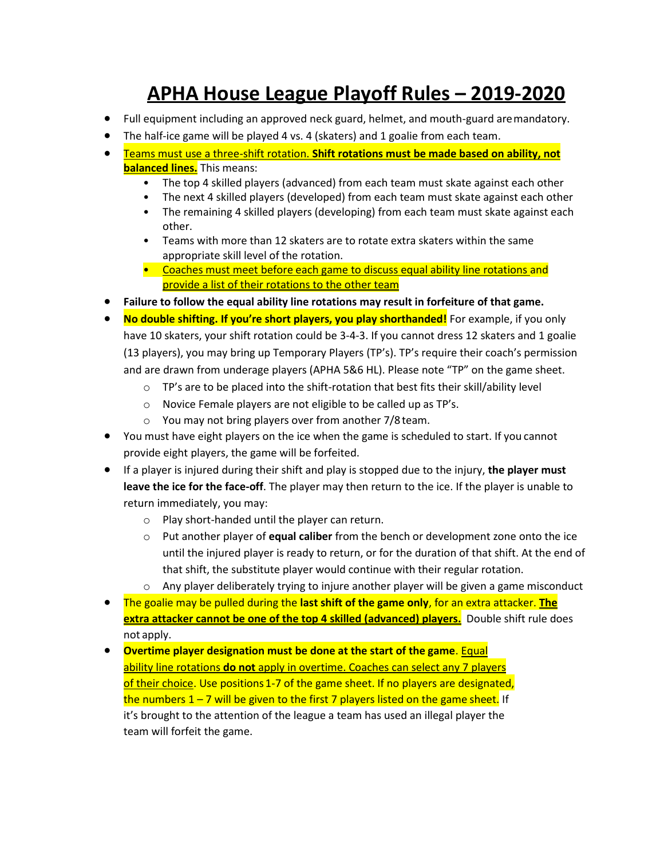# **APHA House League Playoff Rules – 2019-2020**

- Full equipment including an approved neck guard, helmet, and mouth-guard aremandatory.
- The half-ice game will be played 4 vs. 4 (skaters) and 1 goalie from each team.
- Teams must use a three-shift rotation. **Shift rotations must be made based on ability, not balanced lines.** This means:
	- The top 4 skilled players (advanced) from each team must skate against each other
	- The next 4 skilled players (developed) from each team must skate against each other
	- The remaining 4 skilled players (developing) from each team must skate against each other.
	- Teams with more than 12 skaters are to rotate extra skaters within the same appropriate skill level of the rotation.
	- Coaches must meet before each game to discuss equal ability line rotations and provide a list of their rotations to the other team
- **Failure to follow the equal ability line rotations may result in forfeiture of that game.**
- **No double shifting. If you're short players, you play shorthanded!** For example, if you only have 10 skaters, your shift rotation could be 3-4-3. If you cannot dress 12 skaters and 1 goalie (13 players), you may bring up Temporary Players (TP's). TP's require their coach's permission and are drawn from underage players (APHA 5&6 HL). Please note "TP" on the game sheet.
	- o TP's are to be placed into the shift-rotation that best fits their skill/ability level
	- o Novice Female players are not eligible to be called up as TP's.
	- o You may not bring players over from another 7/8 team.
- You must have eight players on the ice when the game is scheduled to start. If you cannot provide eight players, the game will be forfeited.
- If a player is injured during their shift and play is stopped due to the injury, **the player must leave the ice for the face-off**. The player may then return to the ice. If the player is unable to return immediately, you may:
	- o Play short-handed until the player can return.
	- o Put another player of **equal caliber** from the bench or development zone onto the ice until the injured player is ready to return, or for the duration of that shift. At the end of that shift, the substitute player would continue with their regular rotation.
	- $\circ$  Any player deliberately trying to injure another player will be given a game misconduct
- The goalie may be pulled during the **last shift of the game only**, for an extra attacker. **The extra attacker cannot be one of the top 4 skilled (advanced) players.** Double shift rule does not apply.
- **Overtime player designation must be done at the start of the game**. Equal ability line rotations **do not** apply in overtime. Coaches can select any 7 players of their choice. Use positions 1-7 of the game sheet. If no players are designated, the numbers  $1 - 7$  will be given to the first 7 players listed on the game sheet. If it's brought to the attention of the league a team has used an illegal player the team will forfeit the game.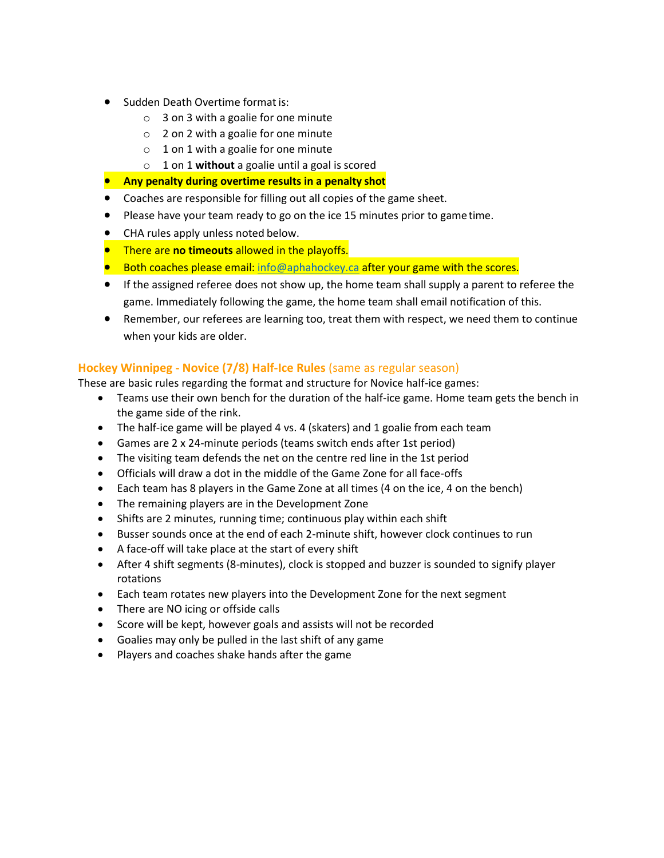- Sudden Death Overtime format is:
	- o 3 on 3 with a goalie for one minute
	- o 2 on 2 with a goalie for one minute
	- $\circ$  1 on 1 with a goalie for one minute
	- o 1 on 1 **without** a goalie until a goal is scored
- **Any penalty during overtime results in a penalty shot**
- Coaches are responsible for filling out all copies of the game sheet.
- Please have your team ready to go on the ice 15 minutes prior to gametime.
- CHA rules apply unless noted below.
- There are **no timeouts** allowed in the playoffs.
- Both coaches please email[: info@aphahockey.ca](mailto:info@aphahockey.ca) after your game with the scores.
- If the assigned referee does not show up, the home team shall supply a parent to referee the game. Immediately following the game, the home team shall email notification of this.
- Remember, our referees are learning too, treat them with respect, we need them to continue when your kids are older.

### **Hockey Winnipeg - Novice (7/8) Half-Ice Rules** (same as regular season)

These are basic rules regarding the format and structure for Novice half-ice games:

- Teams use their own bench for the duration of the half-ice game. Home team gets the bench in the game side of the rink.
- The half-ice game will be played 4 vs. 4 (skaters) and 1 goalie from each team
- Games are 2 x 24-minute periods (teams switch ends after 1st period)
- The visiting team defends the net on the centre red line in the 1st period
- Officials will draw a dot in the middle of the Game Zone for all face-offs
- Each team has 8 players in the Game Zone at all times (4 on the ice, 4 on the bench)
- The remaining players are in the Development Zone
- Shifts are 2 minutes, running time; continuous play within each shift
- Busser sounds once at the end of each 2-minute shift, however clock continues to run
- A face-off will take place at the start of every shift
- After 4 shift segments (8-minutes), clock is stopped and buzzer is sounded to signify player rotations
- Each team rotates new players into the Development Zone for the next segment
- There are NO icing or offside calls
- Score will be kept, however goals and assists will not be recorded
- Goalies may only be pulled in the last shift of any game
- Players and coaches shake hands after the game